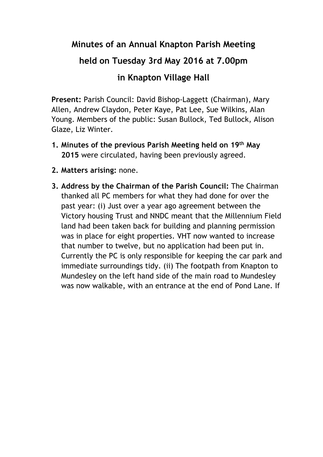## **Minutes of an Annual Knapton Parish Meeting**

## **held on Tuesday 3rd May 2016 at 7.00pm**

## **in Knapton Village Hall**

**Present:** Parish Council: David Bishop-Laggett (Chairman), Mary Allen, Andrew Claydon, Peter Kaye, Pat Lee, Sue Wilkins, Alan Young. Members of the public: Susan Bullock, Ted Bullock, Alison Glaze, Liz Winter.

- **1. Minutes of the previous Parish Meeting held on 19th May 2015** were circulated, having been previously agreed.
- **2. Matters arising:** none.
- **3. Address by the Chairman of the Parish Council:** The Chairman thanked all PC members for what they had done for over the past year: (i) Just over a year ago agreement between the Victory housing Trust and NNDC meant that the Millennium Field land had been taken back for building and planning permission was in place for eight properties. VHT now wanted to increase that number to twelve, but no application had been put in. Currently the PC is only responsible for keeping the car park and immediate surroundings tidy. (ii) The footpath from Knapton to Mundesley on the left hand side of the main road to Mundesley was now walkable, with an entrance at the end of Pond Lane. If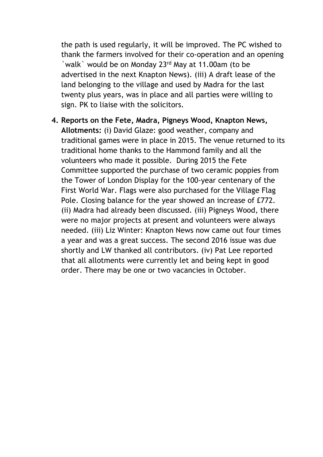the path is used regularly, it will be improved. The PC wished to thank the farmers involved for their co-operation and an opening `walk` would be on Monday 23<sup>rd</sup> May at 11.00am (to be advertised in the next Knapton News). (iii) A draft lease of the land belonging to the village and used by Madra for the last twenty plus years, was in place and all parties were willing to sign. PK to liaise with the solicitors.

**4. Reports on the Fete, Madra, Pigneys Wood, Knapton News, Allotments:** (i) David Glaze: good weather, company and traditional games were in place in 2015. The venue returned to its traditional home thanks to the Hammond family and all the volunteers who made it possible. During 2015 the Fete Committee supported the purchase of two ceramic poppies from the Tower of London Display for the 100-year centenary of the First World War. Flags were also purchased for the Village Flag Pole. Closing balance for the year showed an increase of £772. (ii) Madra had already been discussed. (iii) Pigneys Wood, there were no major projects at present and volunteers were always needed. (iii) Liz Winter: Knapton News now came out four times a year and was a great success. The second 2016 issue was due shortly and LW thanked all contributors. (iv) Pat Lee reported that all allotments were currently let and being kept in good order. There may be one or two vacancies in October.